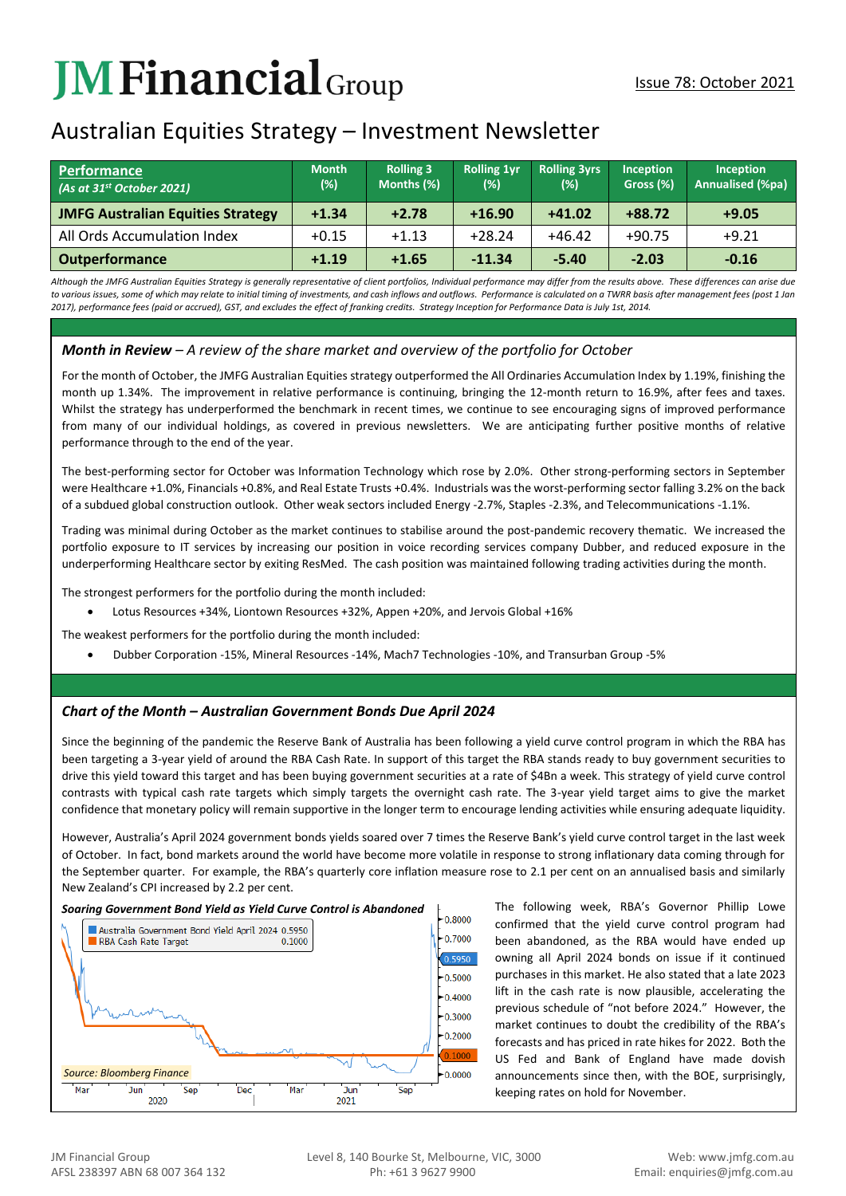# **JMFinancial**Group

# Australian Equities Strategy – Investment Newsletter

| <b>Performance</b><br>(As at 31 <sup>st</sup> October 2021) | <b>Month</b><br>$(\%)$ | <b>Rolling 3</b><br>Months (%) | <b>Rolling 1vr</b><br>(%) | <b>Rolling 3yrs</b><br>(%) | <b>Inception</b><br>Gross (%) | Inception<br>Annualised (%pa) |
|-------------------------------------------------------------|------------------------|--------------------------------|---------------------------|----------------------------|-------------------------------|-------------------------------|
| <b>JMFG Australian Equities Strategy</b>                    | $+1.34$                | $+2.78$                        | $+16.90$                  | $+41.02$                   | $+88.72$                      | $+9.05$                       |
| All Ords Accumulation Index                                 | $+0.15$                | $+1.13$                        | $+28.24$                  | $+46.42$                   | $+90.75$                      | $+9.21$                       |
| <b>Outperformance</b>                                       | $+1.19$                | $+1.65$                        | $-11.34$                  | $-5.40$                    | $-2.03$                       | $-0.16$                       |

*Although the JMFG Australian Equities Strategy is generally representative of client portfolios, Individual performance may differ from the results above. These differences can arise due*  to various issues, some of which may relate to initial timing of investments, and cash inflows and outflows. Performance is calculated on a TWRR basis after management fees (post 1 Jan *2017), performance fees (paid or accrued), GST, and excludes the effect of franking credits. Strategy Inception for Performance Data is July 1st, 2014.*

# *Month in Review – A review of the share market and overview of the portfolio for October*

For the month of October, the JMFG Australian Equities strategy outperformed the All Ordinaries Accumulation Index by 1.19%, finishing the month up 1.34%. The improvement in relative performance is continuing, bringing the 12-month return to 16.9%, after fees and taxes. Whilst the strategy has underperformed the benchmark in recent times, we continue to see encouraging signs of improved performance from many of our individual holdings, as covered in previous newsletters. We are anticipating further positive months of relative performance through to the end of the year.

The best-performing sector for October was Information Technology which rose by 2.0%. Other strong-performing sectors in September were Healthcare +1.0%, Financials +0.8%, and Real Estate Trusts +0.4%. Industrials was the worst-performing sector falling 3.2% on the back of a subdued global construction outlook. Other weak sectors included Energy -2.7%, Staples -2.3%, and Telecommunications -1.1%.

Trading was minimal during October as the market continues to stabilise around the post-pandemic recovery thematic. We increased the portfolio exposure to IT services by increasing our position in voice recording services company Dubber, and reduced exposure in the underperforming Healthcare sector by exiting ResMed. The cash position was maintained following trading activities during the month.

The strongest performers for the portfolio during the month included:

• Lotus Resources +34%, Liontown Resources +32%, Appen +20%, and Jervois Global +16%

The weakest performers for the portfolio during the month included:

• Dubber Corporation -15%, Mineral Resources -14%, Mach7 Technologies -10%, and Transurban Group -5%

## *Chart of the Month – Australian Government Bonds Due April 2024*

Since the beginning of the pandemic the Reserve Bank of Australia has been following a yield curve control program in which the RBA has been targeting a 3-year yield of around the RBA Cash Rate. In support of this target the RBA stands ready to buy government securities to drive this yield toward this target and has been buying government securities at a rate of \$4Bn a week. This strategy of yield curve control contrasts with typical cash rate targets which simply targets the overnight cash rate. The 3-year yield target aims to give the market confidence that monetary policy will remain supportive in the longer term to encourage lending activities while ensuring adequate liquidity.

However, Australia's April 2024 government bonds yields soared over 7 times the Reserve Bank's yield curve control target in the last week of October. In fact, bond markets around the world have become more volatile in response to strong inflationary data coming through for the September quarter. For example, the RBA's quarterly core inflation measure rose to 2.1 per cent on an annualised basis and similarly New Zealand's CPI increased by 2.2 per cent.



The following week, RBA's Governor Phillip Lowe confirmed that the yield curve control program had been abandoned, as the RBA would have ended up owning all April 2024 bonds on issue if it continued purchases in this market. He also stated that a late 2023 lift in the cash rate is now plausible, accelerating the previous schedule of "not before 2024." However, the market continues to doubt the credibility of the RBA's forecasts and has priced in rate hikes for 2022. Both the US Fed and Bank of England have made dovish announcements since then, with the BOE, surprisingly, keeping rates on hold for November.